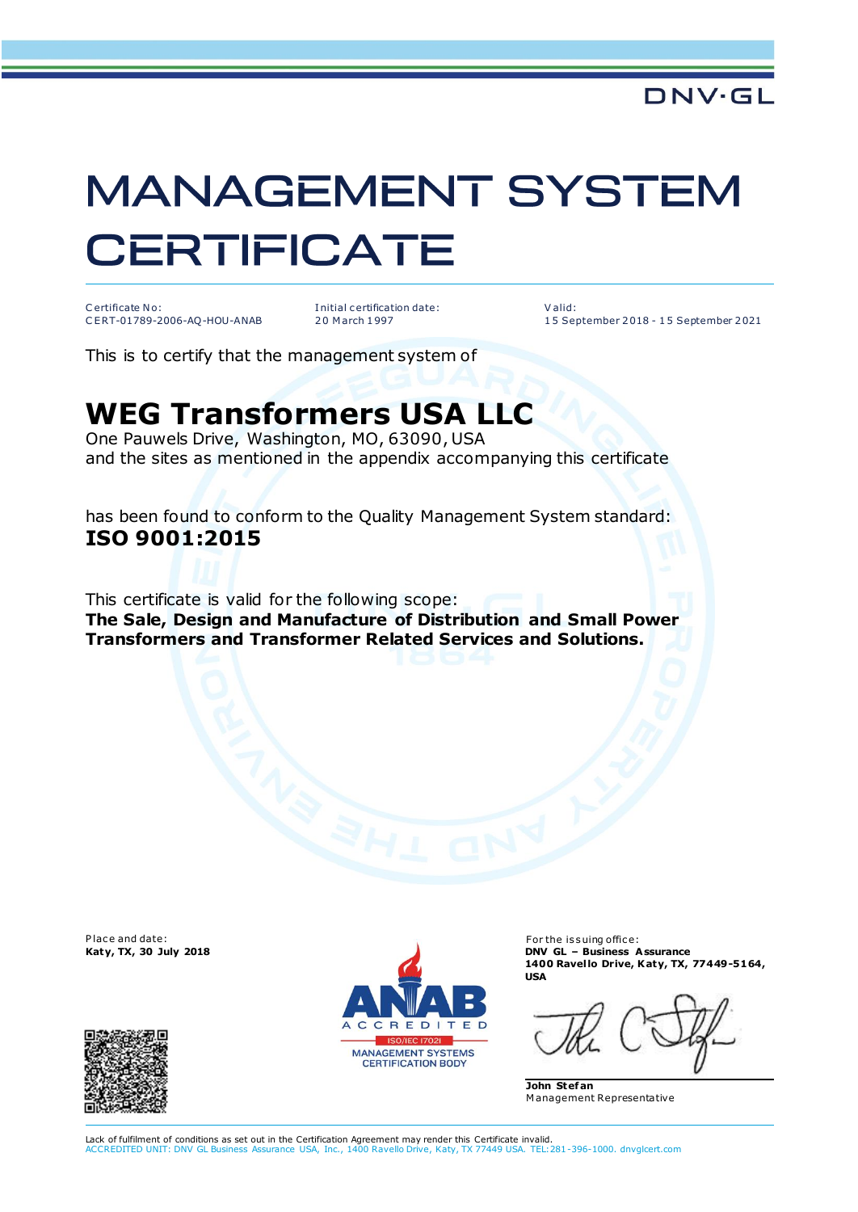## **MANAGEMENT SYSTEM CERTIFICATE**

C ertificate No: C E RT-01789-2006-AQ-HOU-ANAB I nitial c ertification date: 2 0 M arch 1 997

V alid: 1 5 September 2 018 - 1 5 September 2 021

This is to certify that the management system of

## **WEG Transformers USA LLC**

One Pauwels Drive, Washington, MO, 63090, USA and the sites as mentioned in the appendix accompanying this certificate

has been found to conform to the Quality Management System standard: **ISO 9001:2015**

This certificate is valid for the following scope: **The Sale, Design and Manufacture of Distribution and Small Power Transformers and Transformer Related Services and Solutions.**

Place and date:





For the issuing office: **Katy, TX, 30 July 2018 DNV GL – Business Assurance 1400 Ravel lo Drive, Katy, TX, 77449-5164, USA**

**John Stef an**  M anagement Representative

Lack of fulfilment of conditions as set out in the Certification Agreement may render this Certificate invalid.<br>ACCREDITED UNIT: DNV GL Business Assurance USA. Inc., 1400 Ravello Drive, Katy, TX 77449 USA. TEL:2 ACCREDITED UNIT: DNV GL Business Assurance USA, Inc., 1400 Ravello Drive, Katy, TX 77449 USA. TEL:281-396-1000. dnvglcert.com